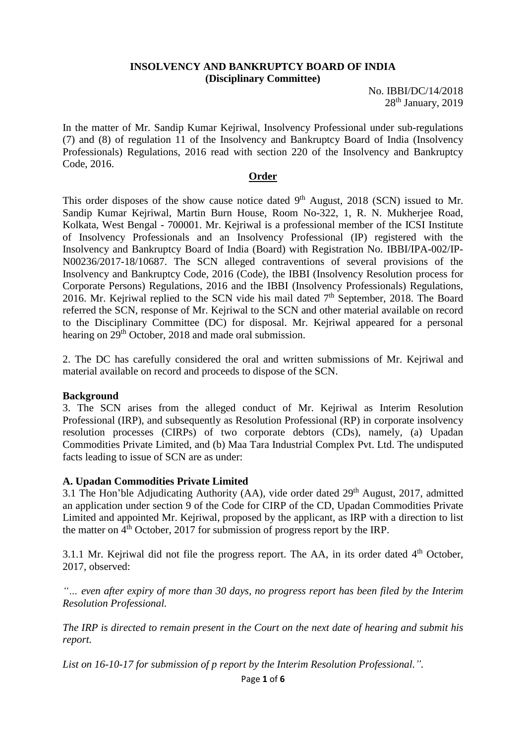### **INSOLVENCY AND BANKRUPTCY BOARD OF INDIA (Disciplinary Committee)**

No. IBBI/DC/14/2018  $28<sup>th</sup>$  January,  $2019$ 

In the matter of Mr. Sandip Kumar Kejriwal, Insolvency Professional under sub-regulations (7) and (8) of regulation 11 of the Insolvency and Bankruptcy Board of India (Insolvency Professionals) Regulations, 2016 read with section 220 of the Insolvency and Bankruptcy Code, 2016.

#### **Order**

This order disposes of the show cause notice dated  $9<sup>th</sup>$  August, 2018 (SCN) issued to Mr. Sandip Kumar Kejriwal, Martin Burn House, Room No-322, 1, R. N. Mukherjee Road, Kolkata, West Bengal - 700001. Mr. Kejriwal is a professional member of the ICSI Institute of Insolvency Professionals and an Insolvency Professional (IP) registered with the Insolvency and Bankruptcy Board of India (Board) with Registration No. IBBI/IPA-002/IP-N00236/2017-18/10687. The SCN alleged contraventions of several provisions of the Insolvency and Bankruptcy Code, 2016 (Code), the IBBI (Insolvency Resolution process for Corporate Persons) Regulations, 2016 and the IBBI (Insolvency Professionals) Regulations, 2016. Mr. Kejriwal replied to the SCN vide his mail dated 7<sup>th</sup> September, 2018. The Board referred the SCN, response of Mr. Kejriwal to the SCN and other material available on record to the Disciplinary Committee (DC) for disposal. Mr. Kejriwal appeared for a personal hearing on 29<sup>th</sup> October, 2018 and made oral submission.

2. The DC has carefully considered the oral and written submissions of Mr. Kejriwal and material available on record and proceeds to dispose of the SCN.

# **Background**

3. The SCN arises from the alleged conduct of Mr. Kejriwal as Interim Resolution Professional (IRP), and subsequently as Resolution Professional (RP) in corporate insolvency resolution processes (CIRPs) of two corporate debtors (CDs), namely, (a) Upadan Commodities Private Limited, and (b) Maa Tara Industrial Complex Pvt. Ltd. The undisputed facts leading to issue of SCN are as under:

# **A. Upadan Commodities Private Limited**

3.1 The Hon'ble Adjudicating Authority (AA), vide order dated  $29<sup>th</sup>$  August, 2017, admitted an application under section 9 of the Code for CIRP of the CD, Upadan Commodities Private Limited and appointed Mr. Kejriwal, proposed by the applicant, as IRP with a direction to list the matter on  $4<sup>th</sup>$  October, 2017 for submission of progress report by the IRP.

3.1.1 Mr. Kejriwal did not file the progress report. The AA, in its order dated  $4<sup>th</sup>$  October, 2017, observed:

*"… even after expiry of more than 30 days, no progress report has been filed by the Interim Resolution Professional.*

*The IRP is directed to remain present in the Court on the next date of hearing and submit his report.* 

*List on 16-10-17 for submission of p report by the Interim Resolution Professional.".*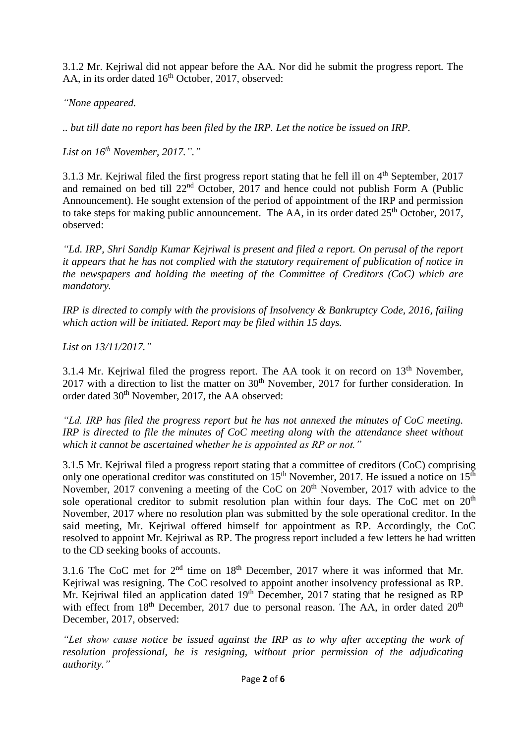3.1.2 Mr. Kejriwal did not appear before the AA. Nor did he submit the progress report. The AA, in its order dated  $16<sup>th</sup>$  October, 2017, observed:

*"None appeared.*

*.. but till date no report has been filed by the IRP. Let the notice be issued on IRP.*

*List on 16th November, 2017."."*

3.1.3 Mr. Kejriwal filed the first progress report stating that he fell ill on  $4<sup>th</sup>$  September, 2017 and remained on bed till 22nd October, 2017 and hence could not publish Form A (Public Announcement). He sought extension of the period of appointment of the IRP and permission to take steps for making public announcement. The AA, in its order dated  $25<sup>th</sup>$  October, 2017, observed:

*"Ld. IRP, Shri Sandip Kumar Kejriwal is present and filed a report. On perusal of the report it appears that he has not complied with the statutory requirement of publication of notice in the newspapers and holding the meeting of the Committee of Creditors (CoC) which are mandatory.*

*IRP is directed to comply with the provisions of Insolvency & Bankruptcy Code, 2016, failing which action will be initiated. Report may be filed within 15 days.*

*List on 13/11/2017."*

3.1.4 Mr. Kejriwal filed the progress report. The AA took it on record on  $13<sup>th</sup>$  November, 2017 with a direction to list the matter on  $30<sup>th</sup>$  November, 2017 for further consideration. In order dated 30<sup>th</sup> November, 2017, the AA observed:

*"Ld. IRP has filed the progress report but he has not annexed the minutes of CoC meeting. IRP is directed to file the minutes of CoC meeting along with the attendance sheet without which it cannot be ascertained whether he is appointed as RP or not."*

3.1.5 Mr. Kejriwal filed a progress report stating that a committee of creditors (CoC) comprising only one operational creditor was constituted on  $15<sup>th</sup>$  November, 2017. He issued a notice on  $15<sup>th</sup>$ November, 2017 convening a meeting of the CoC on 20<sup>th</sup> November, 2017 with advice to the sole operational creditor to submit resolution plan within four days. The CoC met on 20<sup>th</sup> November, 2017 where no resolution plan was submitted by the sole operational creditor. In the said meeting, Mr. Kejriwal offered himself for appointment as RP. Accordingly, the CoC resolved to appoint Mr. Kejriwal as RP. The progress report included a few letters he had written to the CD seeking books of accounts.

3.1.6 The CoC met for 2nd time on 18th December, 2017 where it was informed that Mr. Kejriwal was resigning. The CoC resolved to appoint another insolvency professional as RP. Mr. Kejriwal filed an application dated 19<sup>th</sup> December, 2017 stating that he resigned as RP with effect from  $18<sup>th</sup>$  December, 2017 due to personal reason. The AA, in order dated  $20<sup>th</sup>$ December, 2017, observed:

*"Let show cause notice be issued against the IRP as to why after accepting the work of resolution professional, he is resigning, without prior permission of the adjudicating authority."*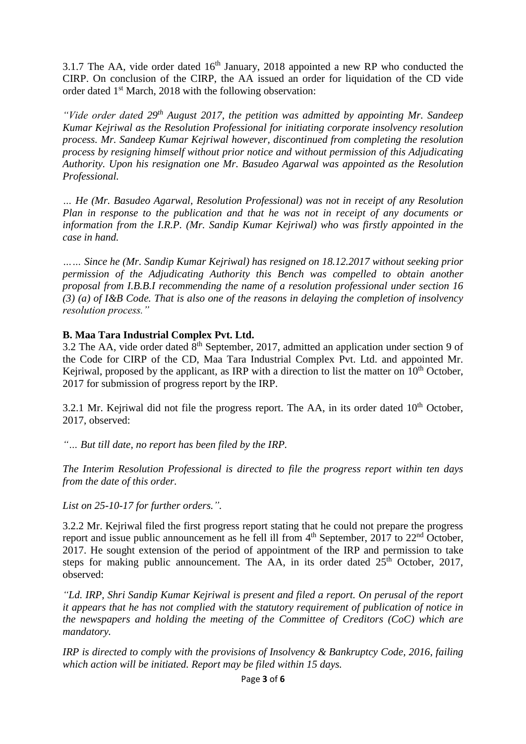3.1.7 The AA, vide order dated  $16<sup>th</sup>$  January, 2018 appointed a new RP who conducted the CIRP. On conclusion of the CIRP, the AA issued an order for liquidation of the CD vide order dated 1<sup>st</sup> March, 2018 with the following observation:

*"Vide order dated 29th August 2017, the petition was admitted by appointing Mr. Sandeep Kumar Kejriwal as the Resolution Professional for initiating corporate insolvency resolution process. Mr. Sandeep Kumar Kejriwal however, discontinued from completing the resolution process by resigning himself without prior notice and without permission of this Adjudicating Authority. Upon his resignation one Mr. Basudeo Agarwal was appointed as the Resolution Professional.*

*… He (Mr. Basudeo Agarwal, Resolution Professional) was not in receipt of any Resolution Plan in response to the publication and that he was not in receipt of any documents or information from the I.R.P. (Mr. Sandip Kumar Kejriwal) who was firstly appointed in the case in hand.*

*…… Since he (Mr. Sandip Kumar Kejriwal) has resigned on 18.12.2017 without seeking prior permission of the Adjudicating Authority this Bench was compelled to obtain another proposal from I.B.B.I recommending the name of a resolution professional under section 16 (3) (a) of I&B Code. That is also one of the reasons in delaying the completion of insolvency resolution process."*

### **B. Maa Tara Industrial Complex Pvt. Ltd.**

3.2 The AA, vide order dated  $8<sup>th</sup>$  September, 2017, admitted an application under section 9 of the Code for CIRP of the CD, Maa Tara Industrial Complex Pvt. Ltd. and appointed Mr. Kejriwal, proposed by the applicant, as IRP with a direction to list the matter on  $10<sup>th</sup>$  October, 2017 for submission of progress report by the IRP.

3.2.1 Mr. Kejriwal did not file the progress report. The AA, in its order dated  $10<sup>th</sup>$  October, 2017, observed:

*"… But till date, no report has been filed by the IRP.*

*The Interim Resolution Professional is directed to file the progress report within ten days from the date of this order.*

*List on 25-10-17 for further orders.".*

3.2.2 Mr. Kejriwal filed the first progress report stating that he could not prepare the progress report and issue public announcement as he fell ill from  $4<sup>th</sup>$  September, 2017 to 22<sup>nd</sup> October, 2017. He sought extension of the period of appointment of the IRP and permission to take steps for making public announcement. The AA, in its order dated  $25<sup>th</sup>$  October, 2017, observed:

*"Ld. IRP, Shri Sandip Kumar Kejriwal is present and filed a report. On perusal of the report it appears that he has not complied with the statutory requirement of publication of notice in the newspapers and holding the meeting of the Committee of Creditors (CoC) which are mandatory.*

*IRP is directed to comply with the provisions of Insolvency & Bankruptcy Code, 2016, failing which action will be initiated. Report may be filed within 15 days.*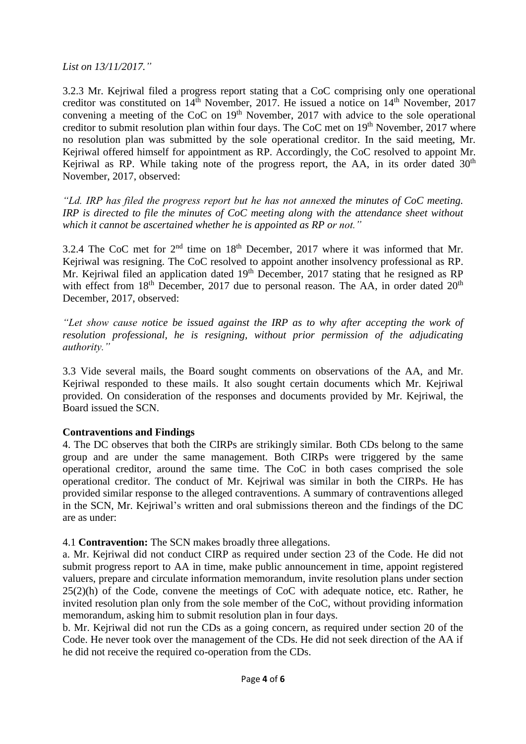*List on 13/11/2017."*

3.2.3 Mr. Kejriwal filed a progress report stating that a CoC comprising only one operational creditor was constituted on 14<sup>th</sup> November, 2017. He issued a notice on 14<sup>th</sup> November, 2017 convening a meeting of the CoC on 19<sup>th</sup> November, 2017 with advice to the sole operational creditor to submit resolution plan within four days. The CoC met on  $19<sup>th</sup>$  November, 2017 where no resolution plan was submitted by the sole operational creditor. In the said meeting, Mr. Kejriwal offered himself for appointment as RP. Accordingly, the CoC resolved to appoint Mr. Kejriwal as RP. While taking note of the progress report, the AA, in its order dated  $30<sup>th</sup>$ November, 2017, observed:

*"Ld. IRP has filed the progress report but he has not annexed the minutes of CoC meeting. IRP is directed to file the minutes of CoC meeting along with the attendance sheet without which it cannot be ascertained whether he is appointed as RP or not."*

3.2.4 The CoC met for  $2<sup>nd</sup>$  time on  $18<sup>th</sup>$  December, 2017 where it was informed that Mr. Kejriwal was resigning. The CoC resolved to appoint another insolvency professional as RP. Mr. Kejriwal filed an application dated  $19<sup>th</sup>$  December, 2017 stating that he resigned as RP with effect from  $18<sup>th</sup>$  December, 2017 due to personal reason. The AA, in order dated  $20<sup>th</sup>$ December, 2017, observed:

*"Let show cause notice be issued against the IRP as to why after accepting the work of resolution professional, he is resigning, without prior permission of the adjudicating authority."*

3.3 Vide several mails, the Board sought comments on observations of the AA, and Mr. Keiriwal responded to these mails. It also sought certain documents which Mr. Keiriwal provided. On consideration of the responses and documents provided by Mr. Kejriwal, the Board issued the SCN.

# **Contraventions and Findings**

4. The DC observes that both the CIRPs are strikingly similar. Both CDs belong to the same group and are under the same management. Both CIRPs were triggered by the same operational creditor, around the same time. The CoC in both cases comprised the sole operational creditor. The conduct of Mr. Kejriwal was similar in both the CIRPs. He has provided similar response to the alleged contraventions. A summary of contraventions alleged in the SCN, Mr. Kejriwal's written and oral submissions thereon and the findings of the DC are as under:

4.1 **Contravention:** The SCN makes broadly three allegations.

a. Mr. Kejriwal did not conduct CIRP as required under section 23 of the Code. He did not submit progress report to AA in time, make public announcement in time, appoint registered valuers, prepare and circulate information memorandum, invite resolution plans under section  $25(2)(h)$  of the Code, convene the meetings of CoC with adequate notice, etc. Rather, he invited resolution plan only from the sole member of the CoC, without providing information memorandum, asking him to submit resolution plan in four days.

b. Mr. Kejriwal did not run the CDs as a going concern, as required under section 20 of the Code. He never took over the management of the CDs. He did not seek direction of the AA if he did not receive the required co-operation from the CDs.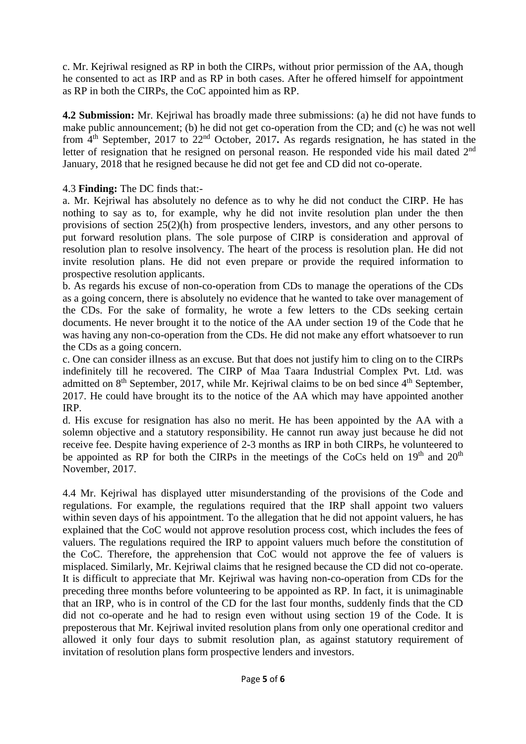c. Mr. Kejriwal resigned as RP in both the CIRPs, without prior permission of the AA, though he consented to act as IRP and as RP in both cases. After he offered himself for appointment as RP in both the CIRPs, the CoC appointed him as RP.

**4.2 Submission:** Mr. Kejriwal has broadly made three submissions: (a) he did not have funds to make public announcement; (b) he did not get co-operation from the CD; and (c) he was not well from 4th September, 2017 to 22nd October, 2017**.** As regards resignation, he has stated in the letter of resignation that he resigned on personal reason. He responded vide his mail dated 2<sup>nd</sup> January, 2018 that he resigned because he did not get fee and CD did not co-operate.

# 4.3 **Finding:** The DC finds that:-

a. Mr. Kejriwal has absolutely no defence as to why he did not conduct the CIRP. He has nothing to say as to, for example, why he did not invite resolution plan under the then provisions of section 25(2)(h) from prospective lenders, investors, and any other persons to put forward resolution plans. The sole purpose of CIRP is consideration and approval of resolution plan to resolve insolvency. The heart of the process is resolution plan. He did not invite resolution plans. He did not even prepare or provide the required information to prospective resolution applicants.

b. As regards his excuse of non-co-operation from CDs to manage the operations of the CDs as a going concern, there is absolutely no evidence that he wanted to take over management of the CDs. For the sake of formality, he wrote a few letters to the CDs seeking certain documents. He never brought it to the notice of the AA under section 19 of the Code that he was having any non-co-operation from the CDs. He did not make any effort whatsoever to run the CDs as a going concern.

c. One can consider illness as an excuse. But that does not justify him to cling on to the CIRPs indefinitely till he recovered. The CIRP of Maa Taara Industrial Complex Pvt. Ltd. was admitted on  $8<sup>th</sup>$  September, 2017, while Mr. Kejriwal claims to be on bed since  $4<sup>th</sup>$  September, 2017. He could have brought its to the notice of the AA which may have appointed another IRP.

d. His excuse for resignation has also no merit. He has been appointed by the AA with a solemn objective and a statutory responsibility. He cannot run away just because he did not receive fee. Despite having experience of 2-3 months as IRP in both CIRPs, he volunteered to be appointed as RP for both the CIRPs in the meetings of the CoCs held on  $19<sup>th</sup>$  and  $20<sup>th</sup>$ November, 2017.

4.4 Mr. Kejriwal has displayed utter misunderstanding of the provisions of the Code and regulations. For example, the regulations required that the IRP shall appoint two valuers within seven days of his appointment. To the allegation that he did not appoint valuers, he has explained that the CoC would not approve resolution process cost, which includes the fees of valuers. The regulations required the IRP to appoint valuers much before the constitution of the CoC. Therefore, the apprehension that CoC would not approve the fee of valuers is misplaced. Similarly, Mr. Kejriwal claims that he resigned because the CD did not co-operate. It is difficult to appreciate that Mr. Kejriwal was having non-co-operation from CDs for the preceding three months before volunteering to be appointed as RP. In fact, it is unimaginable that an IRP, who is in control of the CD for the last four months, suddenly finds that the CD did not co-operate and he had to resign even without using section 19 of the Code. It is preposterous that Mr. Kejriwal invited resolution plans from only one operational creditor and allowed it only four days to submit resolution plan, as against statutory requirement of invitation of resolution plans form prospective lenders and investors.